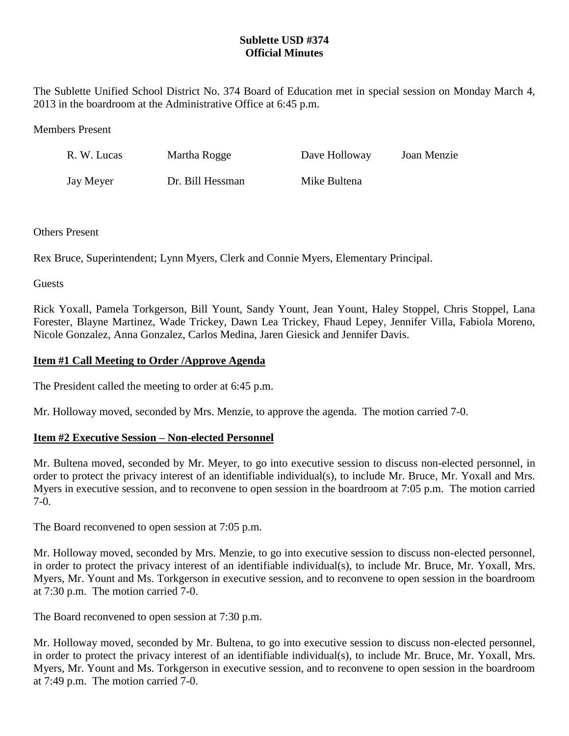# **Sublette USD #374 Official Minutes**

The Sublette Unified School District No. 374 Board of Education met in special session on Monday March 4, 2013 in the boardroom at the Administrative Office at 6:45 p.m.

#### Members Present

| R. W. Lucas | Martha Rogge     | Dave Holloway | Joan Menzie |
|-------------|------------------|---------------|-------------|
| Jay Meyer   | Dr. Bill Hessman | Mike Bultena  |             |

#### Others Present

Rex Bruce, Superintendent; Lynn Myers, Clerk and Connie Myers, Elementary Principal.

**Guests** 

Rick Yoxall, Pamela Torkgerson, Bill Yount, Sandy Yount, Jean Yount, Haley Stoppel, Chris Stoppel, Lana Forester, Blayne Martinez, Wade Trickey, Dawn Lea Trickey, Fhaud Lepey, Jennifer Villa, Fabiola Moreno, Nicole Gonzalez, Anna Gonzalez, Carlos Medina, Jaren Giesick and Jennifer Davis.

## **Item #1 Call Meeting to Order /Approve Agenda**

The President called the meeting to order at 6:45 p.m.

Mr. Holloway moved, seconded by Mrs. Menzie, to approve the agenda. The motion carried 7-0.

## **Item #2 Executive Session – Non-elected Personnel**

Mr. Bultena moved, seconded by Mr. Meyer, to go into executive session to discuss non-elected personnel, in order to protect the privacy interest of an identifiable individual(s), to include Mr. Bruce, Mr. Yoxall and Mrs. Myers in executive session, and to reconvene to open session in the boardroom at 7:05 p.m. The motion carried 7-0.

The Board reconvened to open session at 7:05 p.m.

Mr. Holloway moved, seconded by Mrs. Menzie, to go into executive session to discuss non-elected personnel, in order to protect the privacy interest of an identifiable individual(s), to include Mr. Bruce, Mr. Yoxall, Mrs. Myers, Mr. Yount and Ms. Torkgerson in executive session, and to reconvene to open session in the boardroom at 7:30 p.m. The motion carried 7-0.

The Board reconvened to open session at 7:30 p.m.

Mr. Holloway moved, seconded by Mr. Bultena, to go into executive session to discuss non-elected personnel, in order to protect the privacy interest of an identifiable individual(s), to include Mr. Bruce, Mr. Yoxall, Mrs. Myers, Mr. Yount and Ms. Torkgerson in executive session, and to reconvene to open session in the boardroom at 7:49 p.m. The motion carried 7-0.